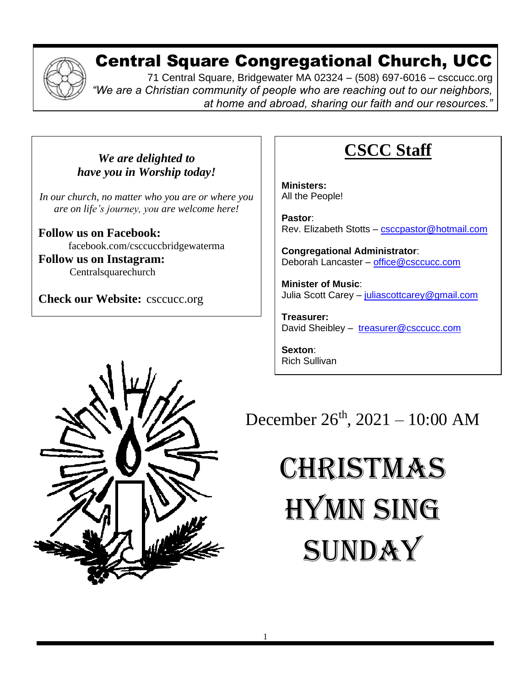# Central Square Congregational Church, UCC

71 Central Square, Bridgewater MA 02324 – (508) 697-6016 – csccucc.org *"We are a Christian community of people who are reaching out to our neighbors, at home and abroad, sharing our faith and our resources."*

*We are delighted to have you in Worship today!*

*In our church, no matter who you are or where you are on life's journey, you are welcome here!*

**Follow us on Facebook:** facebook.com/csccuccbridgewaterma **Follow us on Instagram:** Centralsquarechurch

**Check our Website:** csccucc.org

# **CSCC Staff**

**Ministers:** All the People!

**Pastor**: Rev. Elizabeth Stotts – [csccpastor@hotmail.com](about:blank)

**Congregational Administrator**: Deborah Lancaster – [office@csccucc.com](about:blank)

**Minister of Music**: Julia Scott Carey – [juliascottcarey@gmail.com](about:blank)

**Treasurer:**  David Sheibley – [treasurer@csccucc.com](about:blank)

**Sexton**: Rich Sullivan



And we do not make connections between

December 26<sup>th</sup>, 2021 - 10:00 AM

# Christmas Hymn sing sunday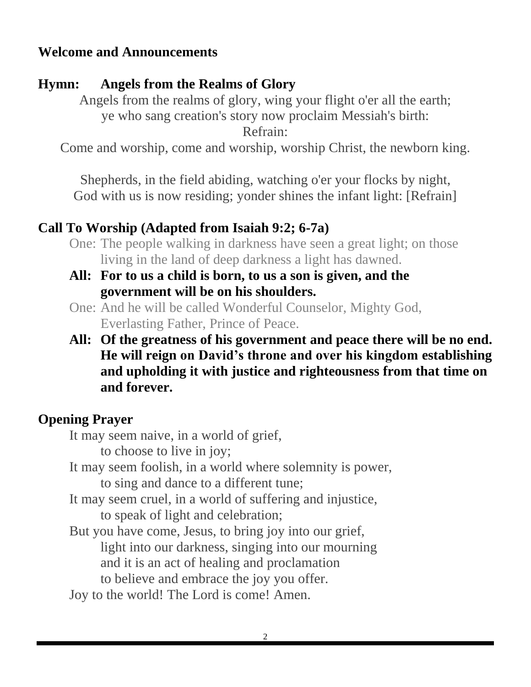#### **Welcome and Announcements**

#### **Hymn: Angels from the Realms of Glory**

Angels from the realms of glory, wing your flight o'er all the earth; ye who sang creation's story now proclaim Messiah's birth: Refrain:

Come and worship, come and worship, worship Christ, the newborn king.

Shepherds, in the field abiding, watching o'er your flocks by night, God with us is now residing; yonder shines the infant light: [Refrain]

### **Call To Worship (Adapted from Isaiah 9:2; 6-7a)**

One: The people walking in darkness have seen a great light; on those living in the land of deep darkness a light has dawned.

- **All: For to us a child is born, to us a son is given, and the government will be on his shoulders.**
- One: And he will be called Wonderful Counselor, Mighty God, Everlasting Father, Prince of Peace.
- **All: Of the greatness of his government and peace there will be no end. He will reign on David's throne and over his kingdom establishing and upholding it with justice and righteousness from that time on and forever.**

#### **Opening Prayer**

It may seem naive, in a world of grief, to choose to live in joy; It may seem foolish, in a world where solemnity is power, to sing and dance to a different tune; It may seem cruel, in a world of suffering and injustice, to speak of light and celebration; But you have come, Jesus, to bring joy into our grief, light into our darkness, singing into our mourning and it is an act of healing and proclamation to believe and embrace the joy you offer. Joy to the world! The Lord is come! Amen.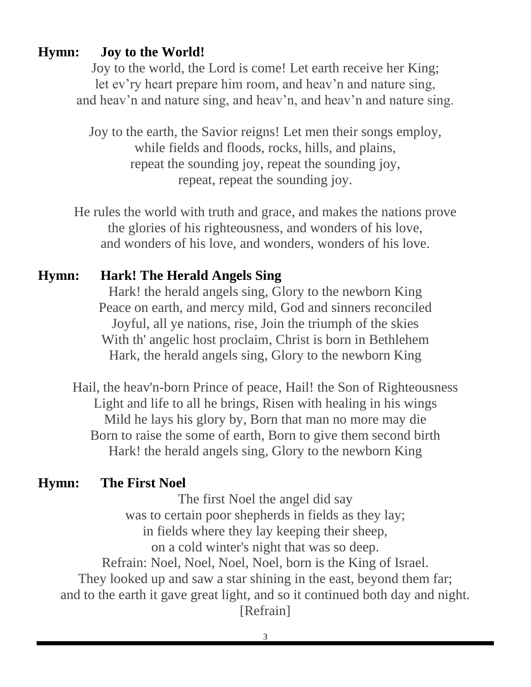#### **Hymn: Joy to the World!**

Joy to the world, the Lord is come! Let earth receive her King; let ev'ry heart prepare him room, and heav'n and nature sing, and heav'n and nature sing, and heav'n, and heav'n and nature sing.

Joy to the earth, the Savior reigns! Let men their songs employ, while fields and floods, rocks, hills, and plains, repeat the sounding joy, repeat the sounding joy, repeat, repeat the sounding joy.

He rules the world with truth and grace, and makes the nations prove the glories of his righteousness, and wonders of his love, and wonders of his love, and wonders, wonders of his love.

#### **Hymn: Hark! The Herald Angels Sing**

Hark! the herald angels sing, Glory to the newborn King Peace on earth, and mercy mild, God and sinners reconciled Joyful, all ye nations, rise, Join the triumph of the skies With th' angelic host proclaim, Christ is born in Bethlehem Hark, the herald angels sing, Glory to the newborn King

Hail, the heav'n-born Prince of peace, Hail! the Son of Righteousness Light and life to all he brings, Risen with healing in his wings Mild he lays his glory by, Born that man no more may die Born to raise the some of earth, Born to give them second birth Hark! the herald angels sing, Glory to the newborn King

#### **Hymn: The First Noel**

The first Noel the angel did say was to certain poor shepherds in fields as they lay; in fields where they lay keeping their sheep, on a cold winter's night that was so deep. Refrain: Noel, Noel, Noel, Noel, born is the King of Israel. They looked up and saw a star shining in the east, beyond them far; and to the earth it gave great light, and so it continued both day and night. [Refrain]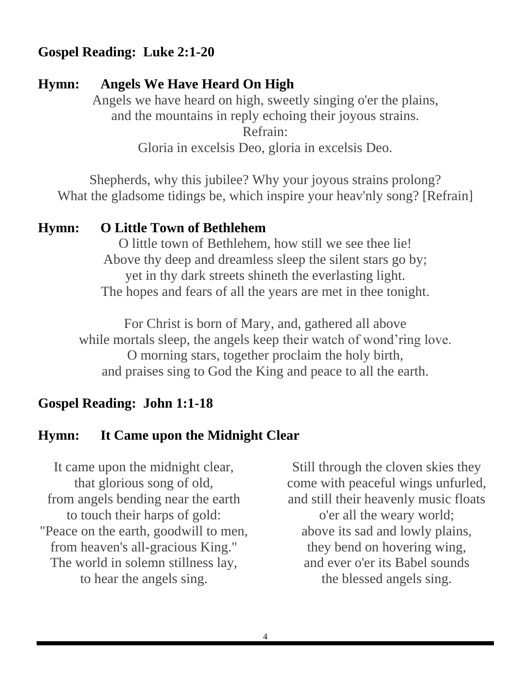#### **Gospel Reading: Luke 2:1-20**

#### **Hymn: Angels We Have Heard On High**

Angels we have heard on high, sweetly singing o'er the plains, and the mountains in reply echoing their joyous strains. Refrain: Gloria in excelsis Deo, gloria in excelsis Deo.

Shepherds, why this jubilee? Why your joyous strains prolong? What the gladsome tidings be, which inspire your heav'nly song? [Refrain]

#### **Hymn: O Little Town of Bethlehem**

O little town of Bethlehem, how still we see thee lie! Above thy deep and dreamless sleep the silent stars go by; yet in thy dark streets shineth the everlasting light. The hopes and fears of all the years are met in thee tonight.

For Christ is born of Mary, and, gathered all above while mortals sleep, the angels keep their watch of wond'ring love. O morning stars, together proclaim the holy birth, and praises sing to God the King and peace to all the earth.

#### **Gospel Reading: John 1:1-18**

#### **Hymn: It Came upon the Midnight Clear**

It came upon the midnight clear, that glorious song of old, from angels bending near the earth to touch their harps of gold: "Peace on the earth, goodwill to men, from heaven's all-gracious King." The world in solemn stillness lay, to hear the angels sing.

Still through the cloven skies they come with peaceful wings unfurled, and still their heavenly music floats o'er all the weary world; above its sad and lowly plains, they bend on hovering wing, and ever o'er its Babel sounds the blessed angels sing.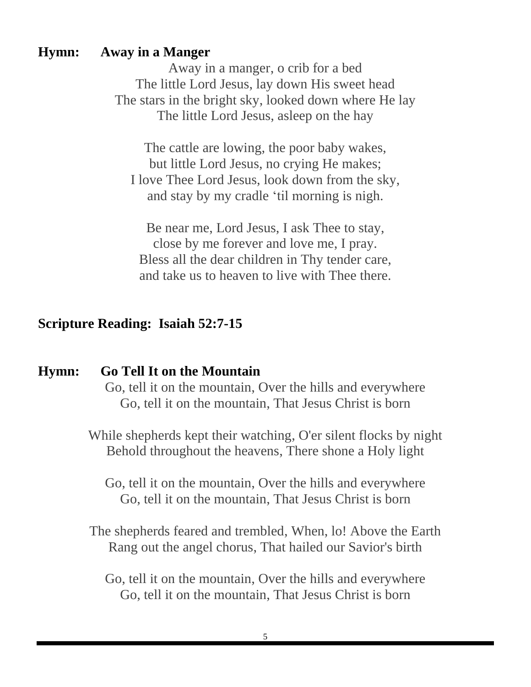#### **Hymn: Away in a Manger**

Away in a manger, o crib for a bed The little Lord Jesus, lay down His sweet head The stars in the bright sky, looked down where He lay The little Lord Jesus, asleep on the hay

The cattle are lowing, the poor baby wakes, but little Lord Jesus, no crying He makes; I love Thee Lord Jesus, look down from the sky, and stay by my cradle 'til morning is nigh.

Be near me, Lord Jesus, I ask Thee to stay, close by me forever and love me, I pray. Bless all the dear children in Thy tender care, and take us to heaven to live with Thee there.

#### **Scripture Reading: Isaiah 52:7-15**

#### **Hymn: Go Tell It on the Mountain**

Go, tell it on the mountain, Over the hills and everywhere Go, tell it on the mountain, That Jesus Christ is born

While shepherds kept their watching, O'er silent flocks by night Behold throughout the heavens, There shone a Holy light

Go, tell it on the mountain, Over the hills and everywhere Go, tell it on the mountain, That Jesus Christ is born

The shepherds feared and trembled, When, lo! Above the Earth Rang out the angel chorus, That hailed our Savior's birth

Go, tell it on the mountain, Over the hills and everywhere Go, tell it on the mountain, That Jesus Christ is born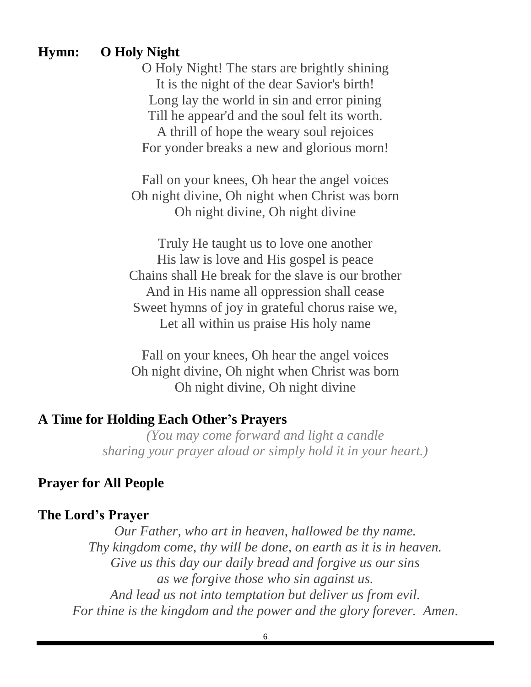#### **Hymn: O Holy Night**

O Holy Night! The stars are brightly shining It is the night of the dear Savior's birth! Long lay the world in sin and error pining Till he appear'd and the soul felt its worth. A thrill of hope the weary soul rejoices For yonder breaks a new and glorious morn!

Fall on your knees, Oh hear the angel voices Oh night divine, Oh night when Christ was born Oh night divine, Oh night divine

Truly He taught us to love one another His law is love and His gospel is peace Chains shall He break for the slave is our brother And in His name all oppression shall cease Sweet hymns of joy in grateful chorus raise we, Let all within us praise His holy name

Fall on your knees, Oh hear the angel voices Oh night divine, Oh night when Christ was born Oh night divine, Oh night divine

#### **A Time for Holding Each Other's Prayers**

*(You may come forward and light a candle sharing your prayer aloud or simply hold it in your heart.)*

#### **Prayer for All People**

#### **The Lord's Prayer**

*Our Father, who art in heaven, hallowed be thy name. Thy kingdom come, thy will be done, on earth as it is in heaven. Give us this day our daily bread and forgive us our sins as we forgive those who sin against us. And lead us not into temptation but deliver us from evil. For thine is the kingdom and the power and the glory forever. Amen*.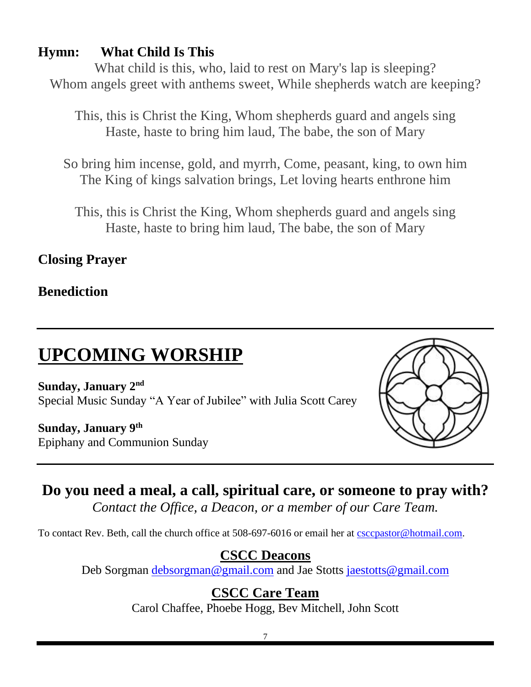#### **Hymn: What Child Is This**

What child is this, who, laid to rest on Mary's lap is sleeping? Whom angels greet with anthems sweet, While shepherds watch are keeping?

- This, this is Christ the King, Whom shepherds guard and angels sing Haste, haste to bring him laud, The babe, the son of Mary
- So bring him incense, gold, and myrrh, Come, peasant, king, to own him The King of kings salvation brings, Let loving hearts enthrone him
	- This, this is Christ the King, Whom shepherds guard and angels sing Haste, haste to bring him laud, The babe, the son of Mary

#### **Closing Prayer**

#### **Benediction**

# **UPCOMING WORSHIP**

**Sunday, January 2nd** Special Music Sunday "A Year of Jubilee" with Julia Scott Carey

**Sunday, January 9th** Epiphany and Communion Sunday



**Do you need a meal, a call, spiritual care, or someone to pray with?** *Contact the Office, a Deacon, or a member of our Care Team.*

To contact Rev. Beth, call the church office at 508-697-6016 or email her at **csccpastor@hotmail.com**.

#### **CSCC Deacons**

Deb Sorgman [debsorgman@gmail.com](mailto:debsorgman@gmail.com) and Jae Stotts [jaestotts@gmail.com](mailto:jaestotts@gmail.com)

#### **CSCC Care Team**

Carol Chaffee, Phoebe Hogg, Bev Mitchell, John Scott